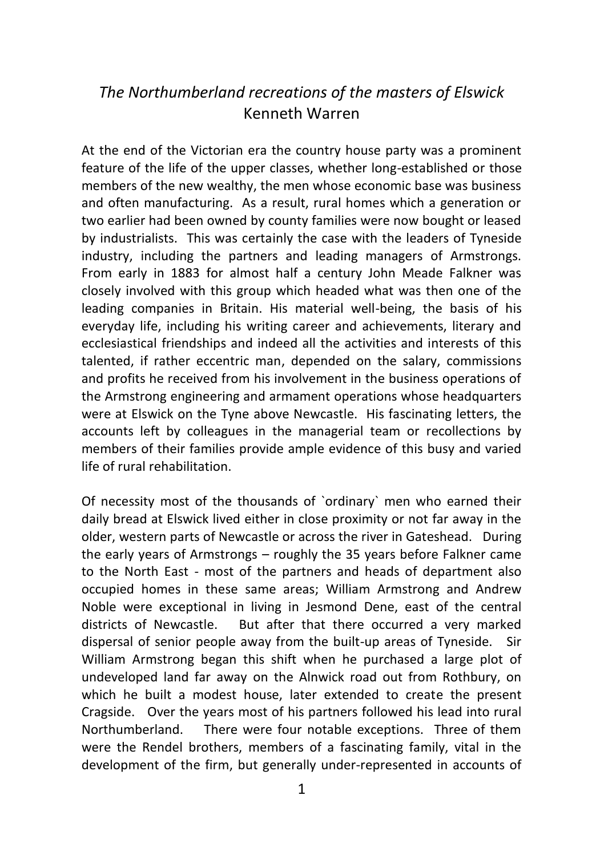## *The Northumberland recreations of the masters of Elswick* Kenneth Warren

At the end of the Victorian era the country house party was a prominent feature of the life of the upper classes, whether long-established or those members of the new wealthy, the men whose economic base was business and often manufacturing. As a result, rural homes which a generation or two earlier had been owned by county families were now bought or leased by industrialists. This was certainly the case with the leaders of Tyneside industry, including the partners and leading managers of Armstrongs. From early in 1883 for almost half a century John Meade Falkner was closely involved with this group which headed what was then one of the leading companies in Britain. His material well-being, the basis of his everyday life, including his writing career and achievements, literary and ecclesiastical friendships and indeed all the activities and interests of this talented, if rather eccentric man, depended on the salary, commissions and profits he received from his involvement in the business operations of the Armstrong engineering and armament operations whose headquarters were at Elswick on the Tyne above Newcastle. His fascinating letters, the accounts left by colleagues in the managerial team or recollections by members of their families provide ample evidence of this busy and varied life of rural rehabilitation.

Of necessity most of the thousands of `ordinary` men who earned their daily bread at Elswick lived either in close proximity or not far away in the older, western parts of Newcastle or across the river in Gateshead. During the early years of Armstrongs – roughly the 35 years before Falkner came to the North East - most of the partners and heads of department also occupied homes in these same areas; William Armstrong and Andrew Noble were exceptional in living in Jesmond Dene, east of the central districts of Newcastle. But after that there occurred a very marked dispersal of senior people away from the built-up areas of Tyneside. Sir William Armstrong began this shift when he purchased a large plot of undeveloped land far away on the Alnwick road out from Rothbury, on which he built a modest house, later extended to create the present Cragside. Over the years most of his partners followed his lead into rural Northumberland. There were four notable exceptions. Three of them were the Rendel brothers, members of a fascinating family, vital in the development of the firm, but generally under-represented in accounts of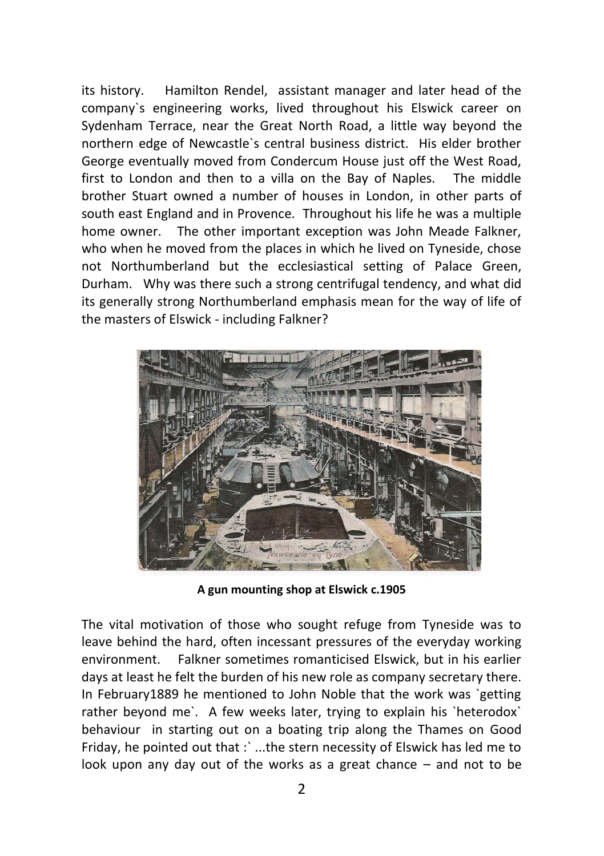its history. Hamilton Rendel, assistant manager and later head of the company`s engineering works, lived throughout his Elswick career on Sydenham Terrace, near the Great North Road, a little way beyond the northern edge of Newcastle`s central business district. His elder brother George eventually moved from Condercum House just off the West Road, first to London and then to a villa on the Bay of Naples. The middle brother Stuart owned a number of houses in London, in other parts of south east England and in Provence. Throughout his life he was a multiple home owner. The other important exception was John Meade Falkner, who when he moved from the places in which he lived on Tyneside, chose not Northumberland but the ecclesiastical setting of Palace Green, Durham. Why was there such a strong centrifugal tendency, and what did its generally strong Northumberland emphasis mean for the way of life of the masters of Elswick - including Falkner?



**A gun mounting shop at Elswick c.1905**

The vital motivation of those who sought refuge from Tyneside was to leave behind the hard, often incessant pressures of the everyday working environment. Falkner sometimes romanticised Elswick, but in his earlier days at least he felt the burden of his new role as company secretary there. In February1889 he mentioned to John Noble that the work was `getting rather beyond me`. A few weeks later, trying to explain his `heterodox` behaviour in starting out on a boating trip along the Thames on Good Friday, he pointed out that : `...the stern necessity of Elswick has led me to look upon any day out of the works as a great chance – and not to be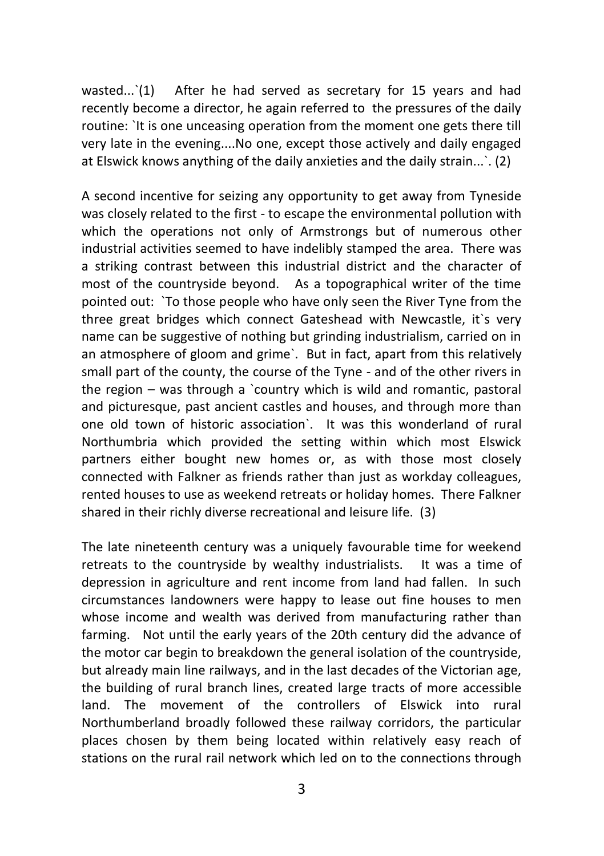wasted...<sup>'</sup>(1) After he had served as secretary for 15 years and had recently become a director, he again referred to the pressures of the daily routine: `It is one unceasing operation from the moment one gets there till very late in the evening....No one, except those actively and daily engaged at Elswick knows anything of the daily anxieties and the daily strain...`. (2)

A second incentive for seizing any opportunity to get away from Tyneside was closely related to the first - to escape the environmental pollution with which the operations not only of Armstrongs but of numerous other industrial activities seemed to have indelibly stamped the area. There was a striking contrast between this industrial district and the character of most of the countryside beyond. As a topographical writer of the time pointed out: `To those people who have only seen the River Tyne from the three great bridges which connect Gateshead with Newcastle, it`s very name can be suggestive of nothing but grinding industrialism, carried on in an atmosphere of gloom and grime`. But in fact, apart from this relatively small part of the county, the course of the Tyne - and of the other rivers in the region – was through a `country which is wild and romantic, pastoral and picturesque, past ancient castles and houses, and through more than one old town of historic association`. It was this wonderland of rural Northumbria which provided the setting within which most Elswick partners either bought new homes or, as with those most closely connected with Falkner as friends rather than just as workday colleagues, rented houses to use as weekend retreats or holiday homes. There Falkner shared in their richly diverse recreational and leisure life. (3)

The late nineteenth century was a uniquely favourable time for weekend retreats to the countryside by wealthy industrialists. It was a time of depression in agriculture and rent income from land had fallen. In such circumstances landowners were happy to lease out fine houses to men whose income and wealth was derived from manufacturing rather than farming. Not until the early years of the 20th century did the advance of the motor car begin to breakdown the general isolation of the countryside, but already main line railways, and in the last decades of the Victorian age, the building of rural branch lines, created large tracts of more accessible land. The movement of the controllers of Elswick into rural Northumberland broadly followed these railway corridors, the particular places chosen by them being located within relatively easy reach of stations on the rural rail network which led on to the connections through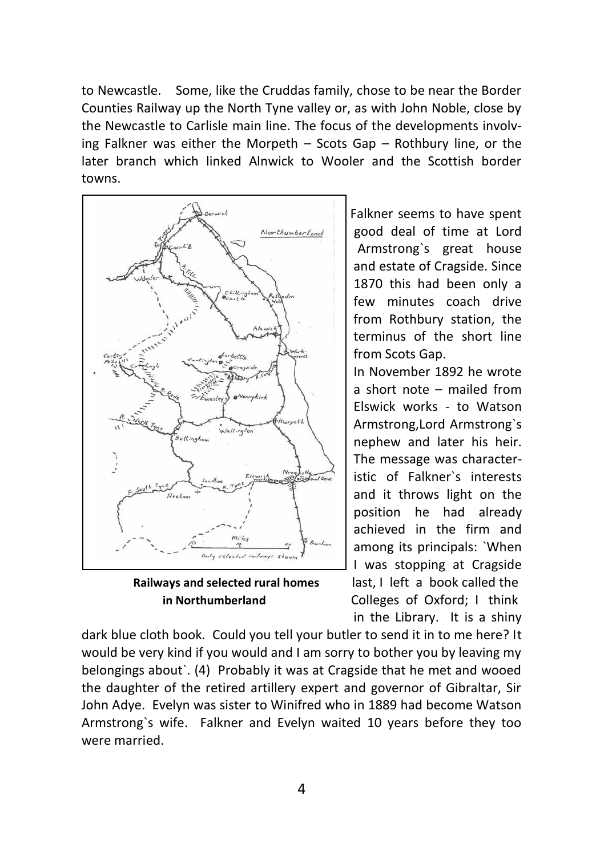to Newcastle. Some, like the Cruddas family, chose to be near the Border Counties Railway up the North Tyne valley or, as with John Noble, close by the Newcastle to Carlisle main line. The focus of the developments involving Falkner was either the Morpeth – Scots Gap – Rothbury line, or the later branch which linked Alnwick to Wooler and the Scottish border towns.



 Falkner seems to have spent Morthumberland | good deal of time at Lord Armstrong`s great house and estate of Cragside. Since 1870 this had been only a few minutes coach drive from Rothbury station, the terminus of the short line from Scots Gap.

 In November 1892 he wrote a short note – mailed from Elswick works - to Watson Armstrong,Lord Armstrong`s nephew and later his heir. The message was character istic of Falkner`s interests and it throws light on the position he had already achieved in the firm and among its principals: `When I was stopping at Cragside **Railways and selected rural homes** last, I left a book called the  **in Northumberland** Colleges of Oxford; I think in the Library. It is a shiny

dark blue cloth book. Could you tell your butler to send it in to me here? It would be very kind if you would and I am sorry to bother you by leaving my belongings about`. (4) Probably it was at Cragside that he met and wooed the daughter of the retired artillery expert and governor of Gibraltar, Sir John Adye. Evelyn was sister to Winifred who in 1889 had become Watson Armstrong`s wife. Falkner and Evelyn waited 10 years before they too were married.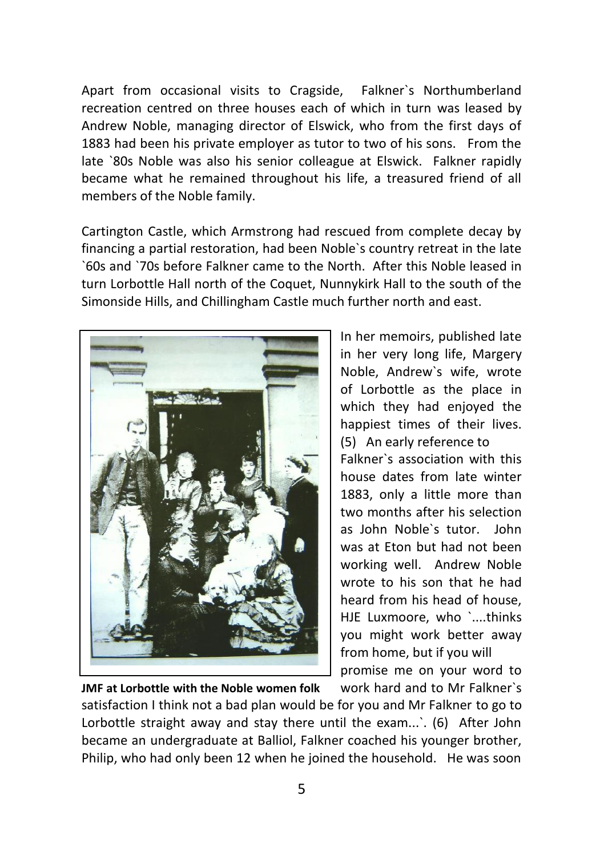Apart from occasional visits to Cragside, Falkner`s Northumberland recreation centred on three houses each of which in turn was leased by Andrew Noble, managing director of Elswick, who from the first days of 1883 had been his private employer as tutor to two of his sons. From the late `80s Noble was also his senior colleague at Elswick. Falkner rapidly became what he remained throughout his life, a treasured friend of all members of the Noble family.

Cartington Castle, which Armstrong had rescued from complete decay by financing a partial restoration, had been Noble`s country retreat in the late `60s and `70s before Falkner came to the North. After this Noble leased in turn Lorbottle Hall north of the Coquet, Nunnykirk Hall to the south of the Simonside Hills, and Chillingham Castle much further north and east.



In her memoirs, published late in her very long life, Margery Noble, Andrew`s wife, wrote of Lorbottle as the place in which they had enjoyed the happiest times of their lives. (5) An early reference to Falkner`s association with this house dates from late winter 1883, only a little more than two months after his selection as John Noble`s tutor. John was at Eton but had not been working well. Andrew Noble wrote to his son that he had heard from his head of house, HJE Luxmoore, who `....thinks you might work better away from home, but if you will promise me on your word to

**JMF at Lorbottle with the Noble women folk** work hard and to Mr Falkner`s satisfaction I think not a bad plan would be for you and Mr Falkner to go to Lorbottle straight away and stay there until the exam...'. (6) After John became an undergraduate at Balliol, Falkner coached his younger brother, Philip, who had only been 12 when he joined the household. He was soon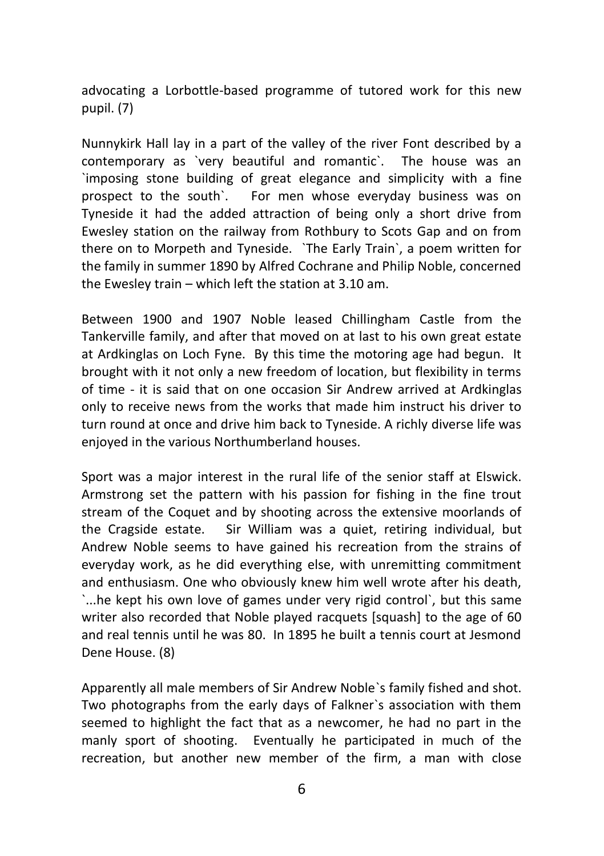advocating a Lorbottle-based programme of tutored work for this new pupil. (7)

Nunnykirk Hall lay in a part of the valley of the river Font described by a contemporary as `very beautiful and romantic`. The house was an `imposing stone building of great elegance and simplicity with a fine prospect to the south`. For men whose everyday business was on Tyneside it had the added attraction of being only a short drive from Ewesley station on the railway from Rothbury to Scots Gap and on from there on to Morpeth and Tyneside. `The Early Train`, a poem written for the family in summer 1890 by Alfred Cochrane and Philip Noble, concerned the Ewesley train – which left the station at 3.10 am.

Between 1900 and 1907 Noble leased Chillingham Castle from the Tankerville family, and after that moved on at last to his own great estate at Ardkinglas on Loch Fyne. By this time the motoring age had begun. It brought with it not only a new freedom of location, but flexibility in terms of time - it is said that on one occasion Sir Andrew arrived at Ardkinglas only to receive news from the works that made him instruct his driver to turn round at once and drive him back to Tyneside. A richly diverse life was enjoyed in the various Northumberland houses.

Sport was a major interest in the rural life of the senior staff at Elswick. Armstrong set the pattern with his passion for fishing in the fine trout stream of the Coquet and by shooting across the extensive moorlands of the Cragside estate. Sir William was a quiet, retiring individual, but Andrew Noble seems to have gained his recreation from the strains of everyday work, as he did everything else, with unremitting commitment and enthusiasm. One who obviously knew him well wrote after his death, `...he kept his own love of games under very rigid control`, but this same writer also recorded that Noble played racquets [squash] to the age of 60 and real tennis until he was 80. In 1895 he built a tennis court at Jesmond Dene House. (8)

Apparently all male members of Sir Andrew Noble`s family fished and shot. Two photographs from the early days of Falkner`s association with them seemed to highlight the fact that as a newcomer, he had no part in the manly sport of shooting. Eventually he participated in much of the recreation, but another new member of the firm, a man with close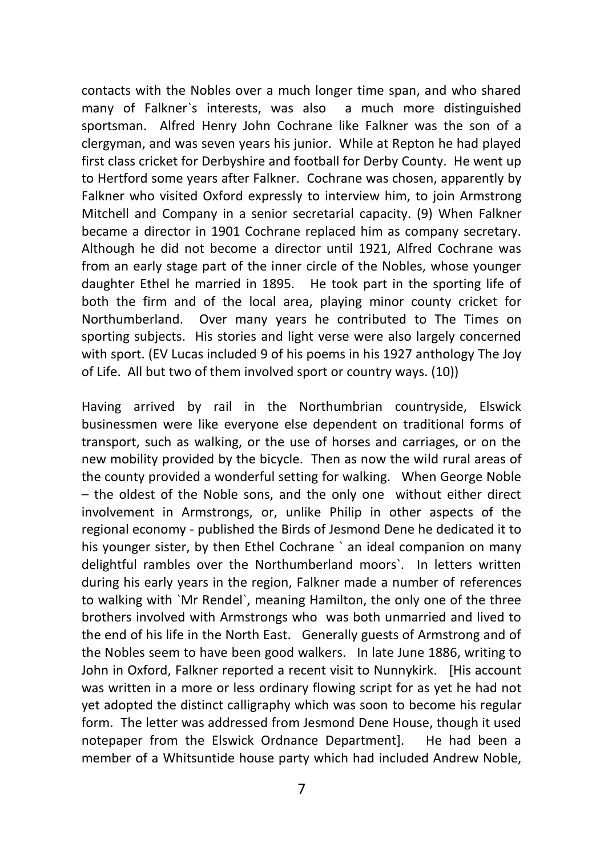contacts with the Nobles over a much longer time span, and who shared many of Falkner`s interests, was also a much more distinguished sportsman. Alfred Henry John Cochrane like Falkner was the son of a clergyman, and was seven years his junior. While at Repton he had played first class cricket for Derbyshire and football for Derby County. He went up to Hertford some years after Falkner. Cochrane was chosen, apparently by Falkner who visited Oxford expressly to interview him, to join Armstrong Mitchell and Company in a senior secretarial capacity. (9) When Falkner became a director in 1901 Cochrane replaced him as company secretary. Although he did not become a director until 1921, Alfred Cochrane was from an early stage part of the inner circle of the Nobles, whose younger daughter Ethel he married in 1895. He took part in the sporting life of both the firm and of the local area, playing minor county cricket for Northumberland. Over many years he contributed to The Times on sporting subjects. His stories and light verse were also largely concerned with sport. (EV Lucas included 9 of his poems in his 1927 anthology The Joy of Life. All but two of them involved sport or country ways. (10))

Having arrived by rail in the Northumbrian countryside, Elswick businessmen were like everyone else dependent on traditional forms of transport, such as walking, or the use of horses and carriages, or on the new mobility provided by the bicycle. Then as now the wild rural areas of the county provided a wonderful setting for walking. When George Noble – the oldest of the Noble sons, and the only one without either direct involvement in Armstrongs, or, unlike Philip in other aspects of the regional economy - published the Birds of Jesmond Dene he dedicated it to his younger sister, by then Ethel Cochrane ` an ideal companion on many delightful rambles over the Northumberland moors`. In letters written during his early years in the region, Falkner made a number of references to walking with `Mr Rendel`, meaning Hamilton, the only one of the three brothers involved with Armstrongs who was both unmarried and lived to the end of his life in the North East. Generally guests of Armstrong and of the Nobles seem to have been good walkers. In late June 1886, writing to John in Oxford, Falkner reported a recent visit to Nunnykirk. [His account was written in a more or less ordinary flowing script for as yet he had not yet adopted the distinct calligraphy which was soon to become his regular form. The letter was addressed from Jesmond Dene House, though it used notepaper from the Elswick Ordnance Department]. He had been a member of a Whitsuntide house party which had included Andrew Noble,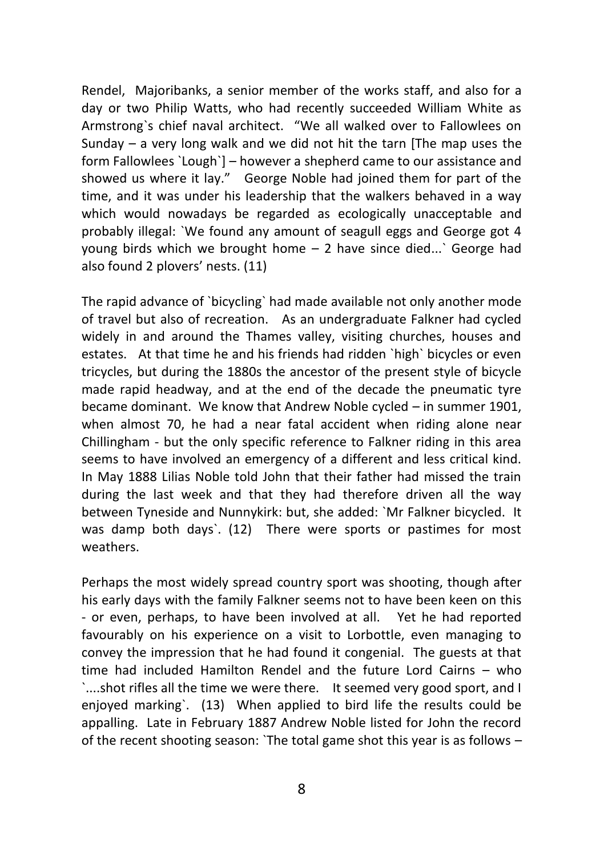Rendel, Majoribanks, a senior member of the works staff, and also for a day or two Philip Watts, who had recently succeeded William White as Armstrong`s chief naval architect. "We all walked over to Fallowlees on Sunday – a very long walk and we did not hit the tarn [The map uses the form Fallowlees `Lough`] – however a shepherd came to our assistance and showed us where it lay." George Noble had joined them for part of the time, and it was under his leadership that the walkers behaved in a way which would nowadays be regarded as ecologically unacceptable and probably illegal: `We found any amount of seagull eggs and George got 4 young birds which we brought home – 2 have since died...` George had also found 2 plovers' nests. (11)

The rapid advance of `bicycling` had made available not only another mode of travel but also of recreation. As an undergraduate Falkner had cycled widely in and around the Thames valley, visiting churches, houses and estates. At that time he and his friends had ridden `high` bicycles or even tricycles, but during the 1880s the ancestor of the present style of bicycle made rapid headway, and at the end of the decade the pneumatic tyre became dominant. We know that Andrew Noble cycled – in summer 1901, when almost 70, he had a near fatal accident when riding alone near Chillingham - but the only specific reference to Falkner riding in this area seems to have involved an emergency of a different and less critical kind. In May 1888 Lilias Noble told John that their father had missed the train during the last week and that they had therefore driven all the way between Tyneside and Nunnykirk: but, she added: `Mr Falkner bicycled. It was damp both days`. (12) There were sports or pastimes for most weathers.

Perhaps the most widely spread country sport was shooting, though after his early days with the family Falkner seems not to have been keen on this - or even, perhaps, to have been involved at all. Yet he had reported favourably on his experience on a visit to Lorbottle, even managing to convey the impression that he had found it congenial. The guests at that time had included Hamilton Rendel and the future Lord Cairns – who `....shot rifles all the time we were there. It seemed very good sport, and I enjoyed marking`. (13) When applied to bird life the results could be appalling. Late in February 1887 Andrew Noble listed for John the record of the recent shooting season: `The total game shot this year is as follows –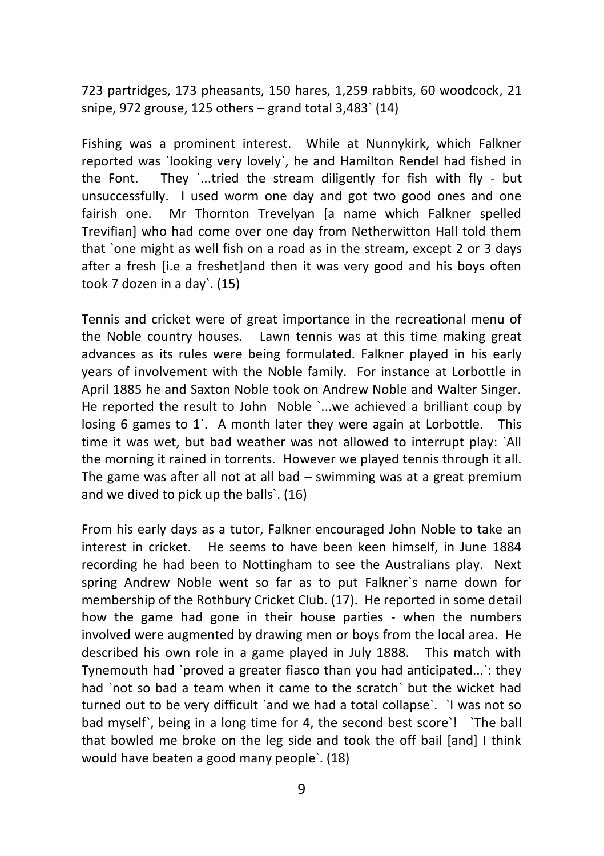723 partridges, 173 pheasants, 150 hares, 1,259 rabbits, 60 woodcock, 21 snipe, 972 grouse, 125 others  $-$  grand total 3,483 $\degree$  (14)

Fishing was a prominent interest. While at Nunnykirk, which Falkner reported was `looking very lovely`, he and Hamilton Rendel had fished in the Font. They '...tried the stream diligently for fish with fly - but unsuccessfully. I used worm one day and got two good ones and one fairish one. Mr Thornton Trevelyan [a name which Falkner spelled Trevifian] who had come over one day from Netherwitton Hall told them that `one might as well fish on a road as in the stream, except 2 or 3 days after a fresh [i.e a freshet]and then it was very good and his boys often took 7 dozen in a day`. (15)

Tennis and cricket were of great importance in the recreational menu of the Noble country houses. Lawn tennis was at this time making great advances as its rules were being formulated. Falkner played in his early years of involvement with the Noble family. For instance at Lorbottle in April 1885 he and Saxton Noble took on Andrew Noble and Walter Singer. He reported the result to John Noble `...we achieved a brilliant coup by losing 6 games to 1`. A month later they were again at Lorbottle. This time it was wet, but bad weather was not allowed to interrupt play: `All the morning it rained in torrents. However we played tennis through it all. The game was after all not at all bad – swimming was at a great premium and we dived to pick up the balls`. (16)

From his early days as a tutor, Falkner encouraged John Noble to take an interest in cricket. He seems to have been keen himself, in June 1884 recording he had been to Nottingham to see the Australians play. Next spring Andrew Noble went so far as to put Falkner`s name down for membership of the Rothbury Cricket Club. (17). He reported in some detail how the game had gone in their house parties - when the numbers involved were augmented by drawing men or boys from the local area. He described his own role in a game played in July 1888. This match with Tynemouth had `proved a greater fiasco than you had anticipated...`: they had `not so bad a team when it came to the scratch` but the wicket had turned out to be very difficult `and we had a total collapse`. `I was not so bad myself`, being in a long time for 4, the second best score`! `The ball that bowled me broke on the leg side and took the off bail [and] I think would have beaten a good many people`. (18)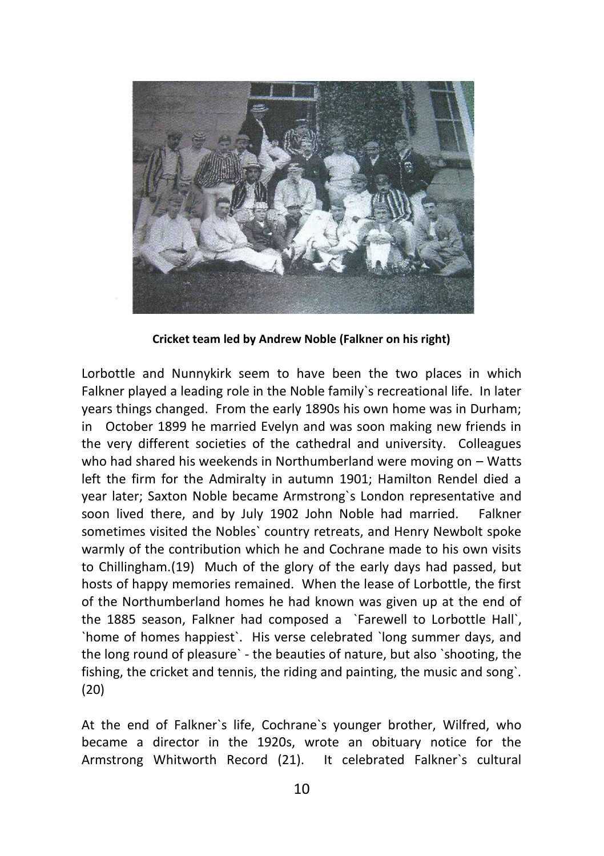

**Cricket team led by Andrew Noble (Falkner on his right)**

Lorbottle and Nunnykirk seem to have been the two places in which Falkner played a leading role in the Noble family`s recreational life. In later years things changed. From the early 1890s his own home was in Durham; in October 1899 he married Evelyn and was soon making new friends in the very different societies of the cathedral and university. Colleagues who had shared his weekends in Northumberland were moving on – Watts left the firm for the Admiralty in autumn 1901; Hamilton Rendel died a year later; Saxton Noble became Armstrong`s London representative and soon lived there, and by July 1902 John Noble had married. Falkner sometimes visited the Nobles` country retreats, and Henry Newbolt spoke warmly of the contribution which he and Cochrane made to his own visits to Chillingham.(19) Much of the glory of the early days had passed, but hosts of happy memories remained. When the lease of Lorbottle, the first of the Northumberland homes he had known was given up at the end of the 1885 season, Falkner had composed a `Farewell to Lorbottle Hall`, `home of homes happiest`. His verse celebrated `long summer days, and the long round of pleasure` - the beauties of nature, but also `shooting, the fishing, the cricket and tennis, the riding and painting, the music and song`. (20)

At the end of Falkner`s life, Cochrane`s younger brother, Wilfred, who became a director in the 1920s, wrote an obituary notice for the Armstrong Whitworth Record (21). It celebrated Falkner`s cultural